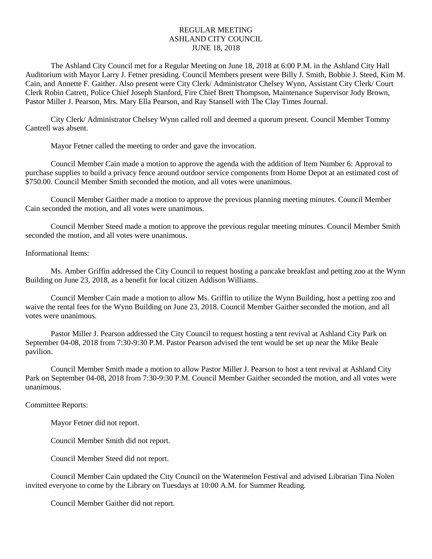# REGULAR MEETING ASHLAND CITY COUNCIL JUNE 18, 2018

The Ashland City Council met for a Regular Meeting on June 18, 2018 at 6:00 P.M. in the Ashland City Hall Auditorium with Mayor Larry J. Fetner presiding. Council Members present were Billy J. Smith, Bobbie J. Steed, Kim M. Cain, and Annette F. Gaither. Also present were City Clerk/ Administrator Chelsey Wynn, Assistant City Clerk/ Court Clerk Robin Catrett, Police Chief Joseph Stanford, Fire Chief Brett Thompson, Maintenance Supervisor Jody Brown, Pastor Miller J. Pearson, Mrs. Mary Ella Pearson, and Ray Stansell with The Clay Times Journal.

City Clerk/ Administrator Chelsey Wynn called roll and deemed a quorum present. Council Member Tommy Cantrell was absent.

Mayor Fetner called the meeting to order and gave the invocation.

Council Member Cain made a motion to approve the agenda with the addition of Item Number 6: Approval to purchase supplies to build a privacy fence around outdoor service components from Home Depot at an estimated cost of \$750.00. Council Member Smith seconded the motion, and all votes were unanimous.

Council Member Gaither made a motion to approve the previous planning meeting minutes. Council Member Cain seconded the motion, and all votes were unanimous.

Council Member Steed made a motion to approve the previous regular meeting minutes. Council Member Smith seconded the motion, and all votes were unanimous.

### Informational Items:

Ms. Amber Griffin addressed the City Council to request hosting a pancake breakfast and petting zoo at the Wynn Building on June 23, 2018, as a benefit for local citizen Addison Williams.

Council Member Cain made a motion to allow Ms. Griffin to utilize the Wynn Building, host a petting zoo and waive the rental fees for the Wynn Building on June 23, 2018. Council Member Gaither seconded the motion, and all votes were unanimous.

Pastor Miller J. Pearson addressed the City Council to request hosting a tent revival at Ashland City Park on September 04-08, 2018 from 7:30-9:30 P.M. Pastor Pearson advised the tent would be set up near the Mike Beale pavilion.

Council Member Smith made a motion to allow Pastor Miller J. Pearson to host a tent revival at Ashland City Park on September 04-08, 2018 from 7:30-9:30 P.M. Council Member Gaither seconded the motion, and all votes were unanimous.

#### Committee Reports:

Mayor Fetner did not report.

Council Member Smith did not report.

Council Member Steed did not report.

Council Member Cain updated the City Council on the Watermelon Festival and advised Librarian Tina Nolen invited everyone to come by the Library on Tuesdays at 10:00 A.M. for Summer Reading.

Council Member Gaither did not report.